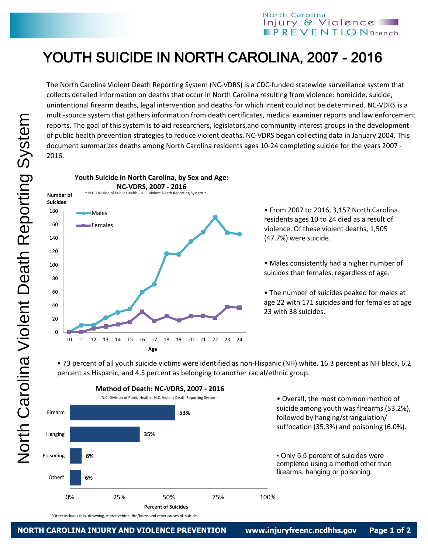## North Carolina Injury & Violence  **Branch**

## YOUTH SUICIDE IN NORTH CAROLINA, 2007 - 2016

The North Carolina Violent Death Reporting System (NC-VDRS) is a CDC-funded statewide surveillance system that collects detailed information on deaths that occur in North Carolina resulting from violence: homicide, suicide, unintentional firearm deaths, legal intervention and deaths for which intent could not be determined. NC-VDRS is a multi-source system that gathers information from death certificates, medical examiner reports and law enforcement reports. The goal of this system is to aid researchers, legislators,and community interest groups in the development of public health prevention strategies to reduce violent deaths. NC-VDRS began collecting data in January 2004. This document summarizes deaths among North Carolina residents ages 10-24 completing suicide for the years 2007 - 2016.



• From 2007 to 2016, 3,157 North Carolina residents ages 10 to 24 died as a result of violence. Of these violent deaths, 1,505 (47.7%) were suicide.

• Males consistently had a higher number of suicides than females, regardless of age.

• The number of suicides peaked for males at age 22 with 171 suicides and for females at age 23 with 38 suicides.

• 73 percent of all youth suicide victims were identified as non-Hispanic (NH) white, 16.3 percent as NH black, 6.2 percent as Hispanic, and 4.5 percent as belonging to another racial/ethnic group.



**M M Method of Death: NC-VDRS, 2007 - 2016**

\*Other includes falls, drowning, motor vehicle, fire/burns and other causes of suicide.